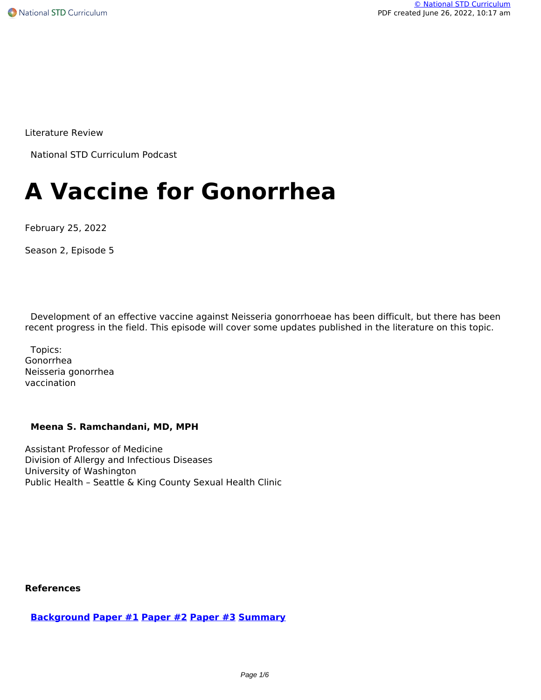Literature Review

National STD Curriculum Podcast

# **A Vaccine for Gonorrhea**

February 25, 2022

Season 2, Episode 5

 Development of an effective vaccine against Neisseria gonorrhoeae has been difficult, but there has been recent progress in the field. This episode will cover some updates published in the literature on this topic.

 Topics: Gonorrhea Neisseria gonorrhea vaccination

#### **Meena S. Ramchandani, MD, MPH**

Assistant Professor of Medicine Division of Allergy and Infectious Diseases University of Washington Public Health – Seattle & King County Sexual Health Clinic

#### **References**

**[Background](https://pubmed.ncbi.nlm.nih.gov/28705462/) [Paper #1](https://pubmed.ncbi.nlm.nih.gov/30551148/) [Paper #2](https://pubmed.ncbi.nlm.nih.gov/33290434/) [Paper #3](https://nstdc.s3.us-west-2.amazonaws.com/files/podcast-docs/STD-Podcast-season-2-ep-5-reference-3.pdf) [Summary](https://clinicaltrials.gov/ct2/show/NCT04350138)**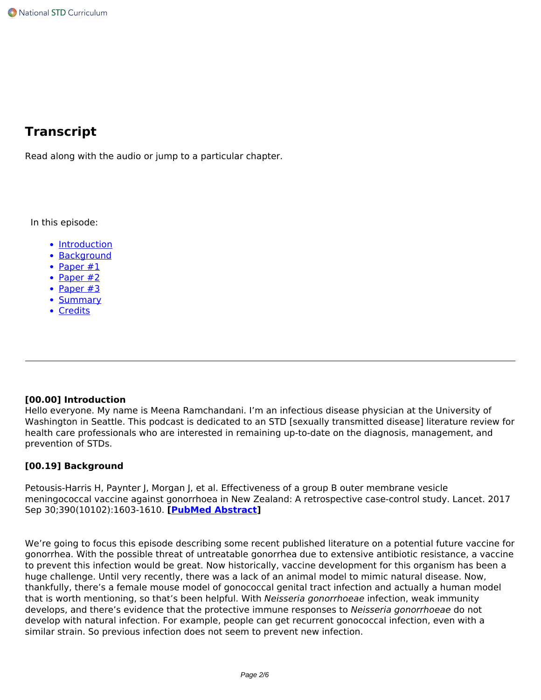# **Transcript**

Read along with the audio or jump to a particular chapter.

In this episode:

- Introduction
- Background
- Paper #1
- $\bullet$  Paper #2
- $\cdot$  Paper #3
- Summary
- Credits

#### **[00.00] Introduction**

Hello everyone. My name is Meena Ramchandani. I'm an infectious disease physician at the University of Washington in Seattle. This podcast is dedicated to an STD [sexually transmitted disease] literature review for health care professionals who are interested in remaining up-to-date on the diagnosis, management, and prevention of STDs.

#### **[00.19] Background**

Petousis-Harris H, Paynter J, Morgan J, et al. Effectiveness of a group B outer membrane vesicle meningococcal vaccine against gonorrhoea in New Zealand: A retrospective case-control study. Lancet. 2017 Sep 30;390(10102):1603-1610. **[[PubMed Abstract\]](https://pubmed.ncbi.nlm.nih.gov/28705462/)**

We're going to focus this episode describing some recent published literature on a potential future vaccine for gonorrhea. With the possible threat of untreatable gonorrhea due to extensive antibiotic resistance, a vaccine to prevent this infection would be great. Now historically, vaccine development for this organism has been a huge challenge. Until very recently, there was a lack of an animal model to mimic natural disease. Now, thankfully, there's a female mouse model of gonococcal genital tract infection and actually a human model that is worth mentioning, so that's been helpful. With *Neisseria gonorrhoeae* infection, weak immunity develops, and there's evidence that the protective immune responses to *Neisseria gonorrhoeae* do not develop with natural infection. For example, people can get recurrent gonococcal infection, even with a similar strain. So previous infection does not seem to prevent new infection.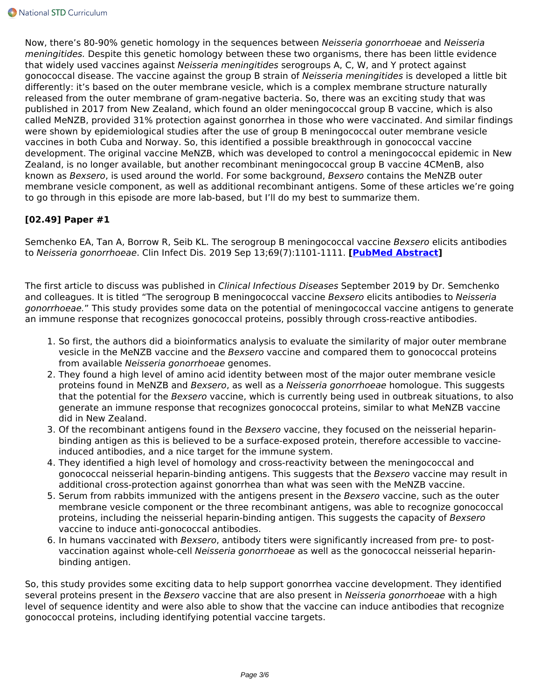Now, there's 80-90% genetic homology in the sequences between *Neisseria gonorrhoeae* and *Neisseria meningitides.* Despite this genetic homology between these two organisms, there has been little evidence that widely used vaccines against *Neisseria meningitides* serogroups A, C, W, and Y protect against gonococcal disease. The vaccine against the group B strain of *Neisseria meningitides* is developed a little bit differently: it's based on the outer membrane vesicle, which is a complex membrane structure naturally released from the outer membrane of gram-negative bacteria. So, there was an exciting study that was published in 2017 from New Zealand, which found an older meningococcal group B vaccine, which is also called MeNZB, provided 31% protection against gonorrhea in those who were vaccinated. And similar findings were shown by epidemiological studies after the use of group B meningococcal outer membrane vesicle vaccines in both Cuba and Norway. So, this identified a possible breakthrough in gonococcal vaccine development. The original vaccine MeNZB, which was developed to control a meningococcal epidemic in New Zealand, is no longer available, but another recombinant meningococcal group B vaccine 4CMenB, also known as *Bexsero*, is used around the world. For some background, *Bexsero* contains the MeNZB outer membrane vesicle component, as well as additional recombinant antigens. Some of these articles we're going to go through in this episode are more lab-based, but I'll do my best to summarize them.

# **[02.49] Paper #1**

Semchenko EA, Tan A, Borrow R, Seib KL. The serogroup B meningococcal vaccine *Bexsero* elicits antibodies to *Neisseria gonorrhoeae*. Clin Infect Dis. 2019 Sep 13;69(7):1101-1111. **[\[PubMed Abstract](https://pubmed.ncbi.nlm.nih.gov/30551148/)]**

The first article to discuss was published in *Clinical Infectious Diseases* September 2019 by Dr. Semchenko and colleagues. It is titled "The serogroup B meningococcal vaccine *Bexsero* elicits antibodies to *Neisseria gonorrhoeae.*" This study provides some data on the potential of meningococcal vaccine antigens to generate an immune response that recognizes gonococcal proteins, possibly through cross-reactive antibodies.

- 1. So first, the authors did a bioinformatics analysis to evaluate the similarity of major outer membrane vesicle in the MeNZB vaccine and the *Bexsero* vaccine and compared them to gonococcal proteins from available *Neisseria gonorrhoeae* genomes.
- 2. They found a high level of amino acid identity between most of the major outer membrane vesicle proteins found in MeNZB and *Bexsero*, as well as a *Neisseria gonorrhoeae* homologue. This suggests that the potential for the *Bexsero* vaccine, which is currently being used in outbreak situations, to also generate an immune response that recognizes gonococcal proteins, similar to what MeNZB vaccine did in New Zealand.
- 3. Of the recombinant antigens found in the *Bexsero* vaccine, they focused on the neisserial heparinbinding antigen as this is believed to be a surface-exposed protein, therefore accessible to vaccineinduced antibodies, and a nice target for the immune system.
- 4. They identified a high level of homology and cross-reactivity between the meningococcal and gonococcal neisserial heparin-binding antigens. This suggests that the *Bexsero* vaccine may result in additional cross-protection against gonorrhea than what was seen with the MeNZB vaccine.
- 5. Serum from rabbits immunized with the antigens present in the *Bexsero* vaccine, such as the outer membrane vesicle component or the three recombinant antigens, was able to recognize gonococcal proteins, including the neisserial heparin-binding antigen. This suggests the capacity of *Bexsero* vaccine to induce anti-gonococcal antibodies.
- 6. In humans vaccinated with *Bexsero*, antibody titers were significantly increased from pre- to postvaccination against whole-cell *Neisseria gonorrhoeae* as well as the gonococcal neisserial heparinbinding antigen.

So, this study provides some exciting data to help support gonorrhea vaccine development. They identified several proteins present in the *Bexsero* vaccine that are also present in *Neisseria gonorrhoeae* with a high level of sequence identity and were also able to show that the vaccine can induce antibodies that recognize gonococcal proteins, including identifying potential vaccine targets.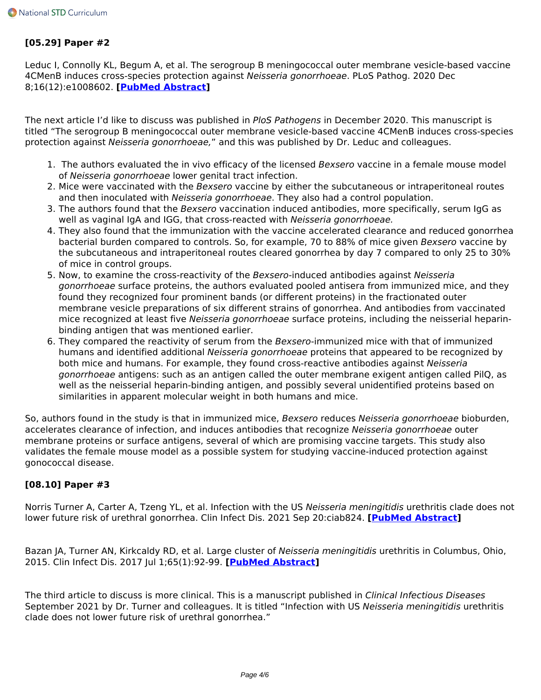### **[05.29] Paper #2**

Leduc I, Connolly KL, Begum A, et al. The serogroup B meningococcal outer membrane vesicle-based vaccine 4CMenB induces cross-species protection against *Neisseria gonorrhoeae*. PLoS Pathog. 2020 Dec 8;16(12):e1008602. **[\[PubMed Abstract](https://pubmed.ncbi.nlm.nih.gov/33290434/)]**

The next article I'd like to discuss was published in *PloS Pathogens* in December 2020. This manuscript is titled "The serogroup B meningococcal outer membrane vesicle-based vaccine 4CMenB induces cross-species protection against *Neisseria gonorrhoeae,*" and this was published by Dr. Leduc and colleagues.

- 1. The authors evaluated the in vivo efficacy of the licensed *Bexsero* vaccine in a female mouse model of *Neisseria gonorrhoeae* lower genital tract infection.
- 2. Mice were vaccinated with the *Bexsero* vaccine by either the subcutaneous or intraperitoneal routes and then inoculated with *Neisseria gonorrhoeae*. They also had a control population.
- 3. The authors found that the *Bexsero* vaccination induced antibodies, more specifically, serum IgG as well as vaginal IgA and IGG, that cross-reacted with *Neisseria gonorrhoeae.*
- 4. They also found that the immunization with the vaccine accelerated clearance and reduced gonorrhea bacterial burden compared to controls. So, for example, 70 to 88% of mice given *Bexsero* vaccine by the subcutaneous and intraperitoneal routes cleared gonorrhea by day 7 compared to only 25 to 30% of mice in control groups.
- 5. Now, to examine the cross-reactivity of the *Bexsero*-induced antibodies against *Neisseria gonorrhoeae* surface proteins, the authors evaluated pooled antisera from immunized mice, and they found they recognized four prominent bands (or different proteins) in the fractionated outer membrane vesicle preparations of six different strains of gonorrhea. And antibodies from vaccinated mice recognized at least five *Neisseria gonorrhoeae* surface proteins, including the neisserial heparinbinding antigen that was mentioned earlier.
- 6. They compared the reactivity of serum from the *Bexsero*-immunized mice with that of immunized humans and identified additional *Neisseria gonorrhoeae* proteins that appeared to be recognized by both mice and humans. For example, they found cross-reactive antibodies against *Neisseria gonorrhoeae* antigens: such as an antigen called the outer membrane exigent antigen called PilQ, as well as the neisserial heparin-binding antigen, and possibly several unidentified proteins based on similarities in apparent molecular weight in both humans and mice.

So, authors found in the study is that in immunized mice, *Bexsero* reduces *Neisseria gonorrhoeae* bioburden, accelerates clearance of infection, and induces antibodies that recognize *Neisseria gonorrhoeae* outer membrane proteins or surface antigens, several of which are promising vaccine targets. This study also validates the female mouse model as a possible system for studying vaccine-induced protection against gonococcal disease.

## **[08.10] Paper #3**

Norris Turner A, Carter A, Tzeng YL, et al. Infection with the US *Neisseria meningitidis* urethritis clade does not lower future risk of urethral gonorrhea. Clin Infect Dis. 2021 Sep 20:ciab824. **[[PubMed Abstract\]](https://pubmed.ncbi.nlm.nih.gov/34543381/)**

Bazan JA, Turner AN, Kirkcaldy RD, et al. Large cluster of *Neisseria meningitidis* urethritis in Columbus, Ohio, 2015. Clin Infect Dis. 2017 Jul 1;65(1):92-99. **[[PubMed Abstract\]](https://pubmed.ncbi.nlm.nih.gov/28481980/)**

The third article to discuss is more clinical. This is a manuscript published in *Clinical Infectious Diseases* September 2021 by Dr. Turner and colleagues. It is titled "Infection with US *Neisseria meningitidis* urethritis clade does not lower future risk of urethral gonorrhea."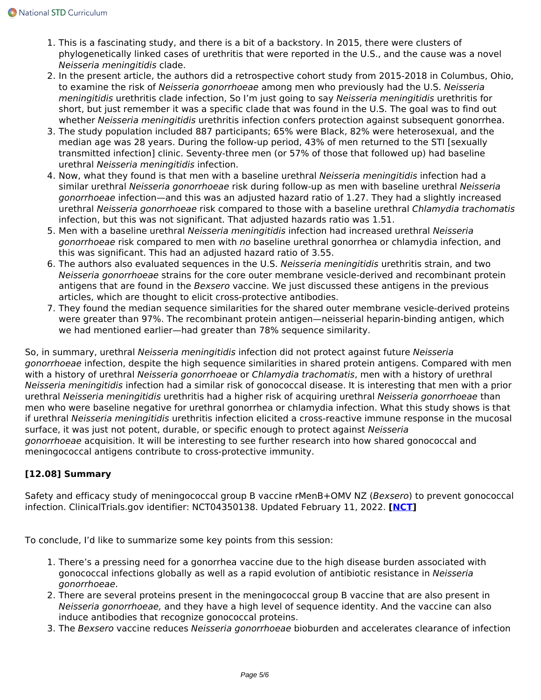- 1. This is a fascinating study, and there is a bit of a backstory. In 2015, there were clusters of phylogenetically linked cases of urethritis that were reported in the U.S., and the cause was a novel *Neisseria meningitidis* clade.
- 2. In the present article, the authors did a retrospective cohort study from 2015-2018 in Columbus, Ohio, to examine the risk of *Neisseria gonorrhoeae* among men who previously had the U.S. *Neisseria meningitidis* urethritis clade infection, So I'm just going to say *Neisseria meningitidis* urethritis for short, but just remember it was a specific clade that was found in the U.S. The goal was to find out whether *Neisseria meningitidis* urethritis infection confers protection against subsequent gonorrhea.
- 3. The study population included 887 participants; 65% were Black, 82% were heterosexual, and the median age was 28 years. During the follow-up period, 43% of men returned to the STI [sexually transmitted infection] clinic. Seventy-three men (or 57% of those that followed up) had baseline urethral *Neisseria meningitidis* infection.
- 4. Now, what they found is that men with a baseline urethral *Neisseria meningitidis* infection had a similar urethral *Neisseria gonorrhoeae* risk during follow-up as men with baseline urethral *Neisseria gonorrhoeae* infection—and this was an adjusted hazard ratio of 1.27. They had a slightly increased urethral *Neisseria gonorrhoeae* risk compared to those with a baseline urethral *Chlamydia trachomatis* infection, but this was not significant. That adjusted hazards ratio was 1.51.
- 5. Men with a baseline urethral *Neisseria meningitidis* infection had increased urethral *Neisseria gonorrhoeae* risk compared to men with *no* baseline urethral gonorrhea or chlamydia infection, and this was significant. This had an adjusted hazard ratio of 3.55.
- 6. The authors also evaluated sequences in the U.S. *Neisseria meningitidis* urethritis strain, and two *Neisseria gonorrhoeae* strains for the core outer membrane vesicle-derived and recombinant protein antigens that are found in the *Bexsero* vaccine. We just discussed these antigens in the previous articles, which are thought to elicit cross-protective antibodies.
- 7. They found the median sequence similarities for the shared outer membrane vesicle-derived proteins were greater than 97%. The recombinant protein antigen—neisserial heparin-binding antigen, which we had mentioned earlier—had greater than 78% sequence similarity.

So, in summary, urethral *Neisseria meningitidis* infection did not protect against future *Neisseria gonorrhoeae* infection, despite the high sequence similarities in shared protein antigens. Compared with men with a history of urethral *Neisseria gonorrhoeae* or *Chlamydia trachomatis*, men with a history of urethral *Neisseria meningitidis* infection had a similar risk of gonococcal disease. It is interesting that men with a prior urethral *Neisseria meningitidis* urethritis had a higher risk of acquiring urethral *Neisseria gonorrhoeae* than men who were baseline negative for urethral gonorrhea or chlamydia infection. What this study shows is that if urethral *Neisseria meningitidis* urethritis infection elicited a cross-reactive immune response in the mucosal surface, it was just not potent, durable, or specific enough to protect against *Neisseria gonorrhoeae* acquisition. It will be interesting to see further research into how shared gonococcal and meningococcal antigens contribute to cross-protective immunity.

# **[12.08] Summary**

Safety and efficacy study of meningococcal group B vaccine rMenB+OMV NZ (*Bexsero*) to prevent gonococcal infection. ClinicalTrials.gov identifier: NCT04350138. Updated February 11, 2022. **[[NCT](https://clinicaltrials.gov/ct2/show/NCT04350138)]**

To conclude, I'd like to summarize some key points from this session:

- 1. There's a pressing need for a gonorrhea vaccine due to the high disease burden associated with gonococcal infections globally as well as a rapid evolution of antibiotic resistance in *Neisseria gonorrhoeae*.
- 2. There are several proteins present in the meningococcal group B vaccine that are also present in *Neisseria gonorrhoeae,* and they have a high level of sequence identity. And the vaccine can also induce antibodies that recognize gonococcal proteins.
- 3. The *Bexsero* vaccine reduces *Neisseria gonorrhoeae* bioburden and accelerates clearance of infection